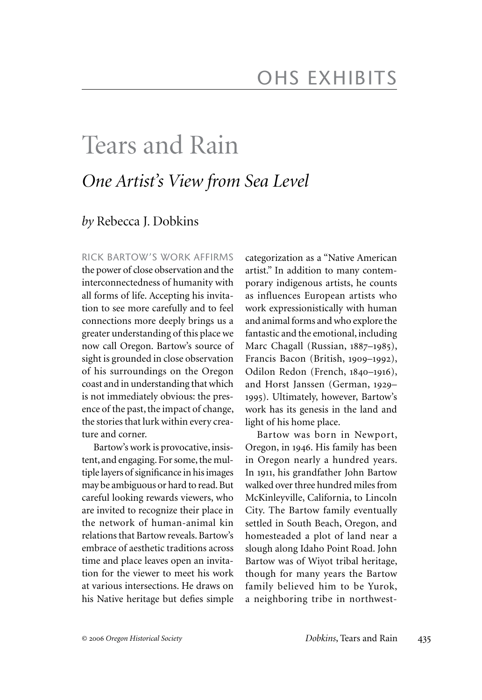# Tears and Rain *One Artist's View from Sea Level*

## *by* Rebecca J. Dobkins

RICK BARTOW'S WORK AFFIRMS the power of close observation and the interconnectedness of humanity with all forms of life. Accepting his invitation to see more carefully and to feel connections more deeply brings us a greater understanding of this place we now call Oregon. Bartow's source of sight is grounded in close observation of his surroundings on the Oregon coast and in understanding that which is not immediately obvious: the presence of the past, the impact of change, the stories that lurk within every creature and corner.

Bartow's work is provocative, insistent, and engaging. For some, the multiple layers of significance in his images may be ambiguous or hard to read. But careful looking rewards viewers, who are invited to recognize their place in the network of human-animal kin relations that Bartow reveals. Bartow's embrace of aesthetic traditions across time and place leaves open an invitation for the viewer to meet his work at various intersections. He draws on his Native heritage but defies simple categorization as a "Native American artist." In addition to many contemporary indigenous artists, he counts as influences European artists who work expressionistically with human and animal forms and who explore the fantastic and the emotional, including Marc Chagall (Russian, 1887–1985), Francis Bacon (British, 1909–1992), Odilon Redon (French, 1840–1916), and Horst Janssen (German, 1929– 1995). Ultimately, however, Bartow's work has its genesis in the land and light of his home place.

Bartow was born in Newport, Oregon, in 1946. His family has been in Oregon nearly a hundred years. In 1911, his grandfather John Bartow walked over three hundred miles from McKinleyville, California, to Lincoln City. The Bartow family eventually settled in South Beach, Oregon, and homesteaded a plot of land near a slough along Idaho Point Road. John Bartow was of Wiyot tribal heritage, though for many years the Bartow family believed him to be Yurok, a neighboring tribe in northwest-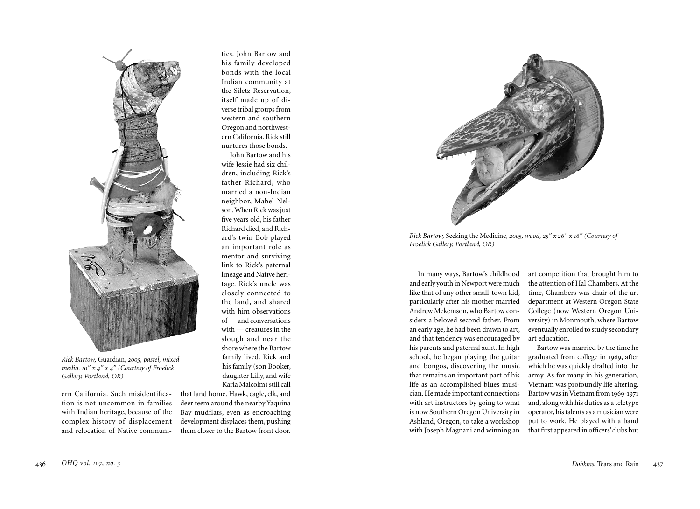

*Rick Bartow,* Guardian*, 2005, pastel, mixed media. 10" x 4" x 4" (Courtesy of Froelick Gallery, Portland, OR)*

ern California. Such misidentification is not uncommon in families with Indian heritage, because of the complex history of displacement and relocation of Native communities. John Bartow and his family developed bonds with the local Indian community at the Siletz Reservation, itself made up of diverse tribal groups from western and southern Oregon and northwestern California. Rick still nurtures those bonds.

John Bartow and his wife Jessie had six children, including Rick's father Richard, who married a non-Indian neighbor, Mabel Nelson. When Rick was just five years old, his father Richard died, and Richard's twin Bob played an important role as mentor and surviving link to Rick's paternal lineage and Native heritage. Rick's uncle was closely connected to the land, and shared with him observations of — and conversations with — creatures in the slough and near the shore where the Bartow family lived. Rick and his family (son Booker, daughter Lilly, and wife Karla Malcolm) still call

that land home. Hawk, eagle, elk, and deer teem around the nearby Yaquina Bay mudflats, even as encroaching development displaces them, pushing them closer to the Bartow front door.



*Rick Bartow,* Seeking the Medicine*, 2005, wood, 25" x 26" x 16" (Courtesy of Froelick Gallery, Portland, OR)*

In many ways, Bartow's childhood and early youth in Newport were much like that of any other small-town kid, particularly after his mother married Andrew Mekemson, who Bartow considers a beloved second father. From an early age, he had been drawn to art, and that tendency was encouraged by his parents and paternal aunt. In high school, he began playing the guitar and bongos, discovering the music that remains an important part of his life as an accomplished blues musician. He made important connections with art instructors by going to what is now Southern Oregon University in Ashland, Oregon, to take a workshop with Joseph Magnani and winning an

art competition that brought him to the attention of Hal Chambers. At the time, Chambers was chair of the art department at Western Oregon State College (now Western Oregon University) in Monmouth, where Bartow eventually enrolled to study secondary art education.

Bartow was married by the time he graduated from college in 1969, after which he was quickly drafted into the army. As for many in his generation, Vietnam was profoundly life altering. Bartow was in Vietnam from 1969-1971 and, along with his duties as a teletype operator, his talents as a musician were put to work. He played with a band that first appeared in officers' clubs but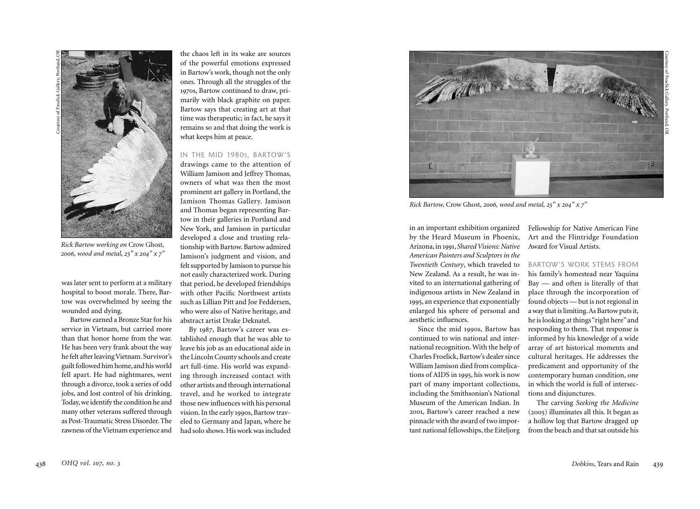

*Rick Bartow working on* Crow Ghost*, 2006, wood and metal, 25" x 204 " x 7 "*

was later sent to perform at a military hospital to boost morale. There, Bar tow was overwhelmed by seeing the wounded and dying.

Bartow earned a Bronze Star for his abstract artist Drake Deknatel. service in Vietnam, but carried more than that honor home from the war. He has been very frank about the way he felt after leaving Vietnam. Survivor's guilt followed him home, and his world fell apart. He had nightmares, went through a divorce, took a series of odd jobs, and lost control of his drinking. Today, we identify the condition he and many other veterans suffered through as Post-Traumatic Stress Disorder. The rawness of the Vietnam experience and

the chaos left in its wake are sources of the powerful emotions expressed in Bartow's work, though not the only ones. Through all the struggles of the 1970s, Bartow continued to draw, pri marily with black graphite on paper. Bartow says that creating art at that time was therapeutic; in fact, he says it remains so and that doing the work is what keeps him at peace.

#### IN THE MID 1980 S, BARTOW'S

drawings came to the attention of William Jamison and Jeffrey Thomas, owners of what was then the most prominent art gallery in Portland, the Jamison Thomas Gallery. Jamison and Thomas began representing Bar tow in their galleries in Portland and New York, and Jamison in particular developed a close and trusting rela tionship with Bartow. Bartow admired Jamison's judgment and vision, and felt supported by Jamison to pursue his not easily characterized work. During that period, he developed friendships with other Pacific Northwest artists such as Lillian Pitt and Joe Feddersen, who were also of Native heritage, and

By 1987, Bartow's career was es tablished enough that he was able to leave his job as an educational aide in the Lincoln County schools and create art full-time. His world was expand ing through increased contact with other artists and through international travel, and he worked to integrate those new influences with his personal vision. In the early 1990s, Bartow trav eled to Germany and Japan, where he had solo shows. His work was included

B

*Rick Bartow,* Crow Ghost*, 2006, wood and metal, 25 " x 204 " x 7 "*

in an important exhibition organized by the Heard Museum in Phoenix, Arizona, in 1991, *Shared Visions: Native American Painters and Sculptors in the Twentieth Century*, which traveled to New Zealand. As a result, he was in vited to an international gathering of indigenous artists in New Zealand in 199 5, an experience that exponentially enlarged his sphere of personal and aesthetic influences.

Since the mid 1990s, Bartow has continued to win national and inter national recognition. With the help of Charles Froelick, Bartow's dealer since William Jamison died from complica tions of AIDS in 199 5, his work is now part of many important collections, including the Smithsonian's National Museum of the American Indian. In 2001, Bartow's career reached a new pinnacle with the award of two impor tant national fellowships, the Eiteljorg

Fellowship for Native American Fine Art and the Flintridge Foundation Award for Visual Artists.

## BARTOW'S WORK STEMS FROM

his family's homestead near Yaquina Bay — and often is literally of that place through the incorporation of found objects — but is not regional in a way that is limiting. As Bartow puts it, he is looking at things "right here" and responding to them. That response is informed by his knowledge of a wide array of art historical moments and cultural heritages. He addresses the predicament and opportunity of the contemporary human condition, one in which the world is full of intersec tions and disjunctures.

The carving *Seeking the Medicine* (200 5) illuminates all this. It began as a hollow log that Bartow dragged up from the beach and that sat outside his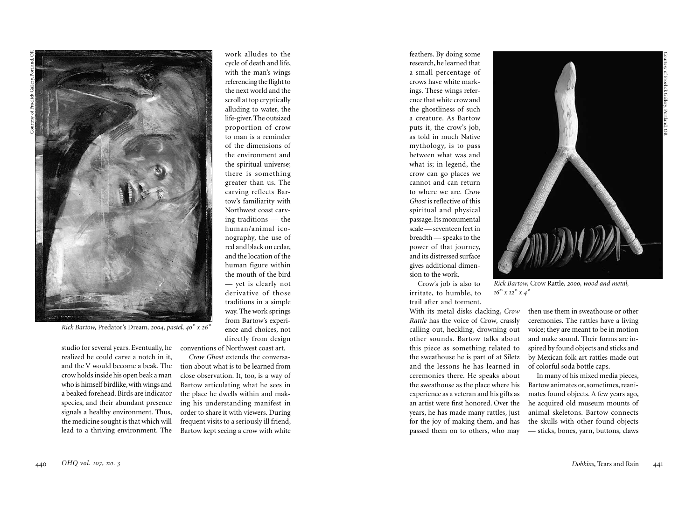

with the man's wings referencing the flight to the next world and the scroll at top cryptically alluding to water, the life-giver. The outsized proportion of crow to man is a reminder of the dimensions of the environment and the spiritual universe; there is something greater than us. The carving reflects Bar tow's familiarity with Northwest coast carv ing traditions — the human/animal ico nography, the use of red and black on cedar, and the location of the human figure within the mouth of the bird — yet is clearly not derivative of those traditions in a simple way. The work springs from Bartow's experi ence and choices, not directly from design conventions of Northwest coast art.

work alludes to the cycle of death and life,

*Rick Bartow,* Predator's Dream*, 2004, pastel, 40 " x 26 "*

studio for several years. Eventually, he realized he could carve a notch in it, and the V would become a beak. The crow holds inside his open beak a man who is himself birdlike, with wings and a beaked forehead. Birds are indicator species, and their abundant presence signals a healthy environment. Thus, the medicine sought is that which will lead to a thriving environment. The

*Crow Ghost* extends the conversa tion about what is to be learned from close observation. It, too, is a way of Bartow articulating what he sees in the place he dwells within and mak ing his understanding manifest in order to share it with viewers. During frequent visits to a seriously ill friend, Bartow kept seeing a crow with white

feathers. By doing some research, he learned that a small percentage of crows have white mark ings. These wings refer ence that white crow and the ghostliness of such a creature. As Bartow puts it, the crow's job, as told in much Native mythology, is to pass between what was and what is; in legend, the crow can go places we cannot and can return to where we are. *Crow Ghost* is reflective of this spiritual and physical passage. Its monumental scale — seventeen feet in breadth — speaks to the power of that journey, and its distressed surface gives additional dimen sion to the work. Crow's job is also to

irritate, to humble, to trail after and torment.

With its metal disks clacking, *Crow Rattle* has the voice of Crow, crassly calling out, heckling, drowning out other sounds. Bartow talks about this piece as something related to the sweathouse he is part of at Siletz and the lessons he has learned in ceremonies there. He speaks about the sweathouse as the place where his experience as a veteran and his gifts as an artist were first honored. Over the years, he has made many rattles, just for the joy of making them, and has passed them on to others, who may



*Rick Bartow,* Crow Rattle*, 2000, wood and metal, 16 " x 12 " x 4 "*

then use them in sweathouse or other ceremonies. The rattles have a living voice; they are meant to be in motion and make sound. Their forms are in spired by found objects and sticks and by Mexican folk art rattles made out of colorful soda bottle caps.

In many of his mixed media pieces, Bartow animates or, sometimes, reani mates found objects. A few years ago, he acquired old museum mounts of animal skeletons. Bartow connects the skulls with other found objects — sticks, bones, yarn, buttons, claws